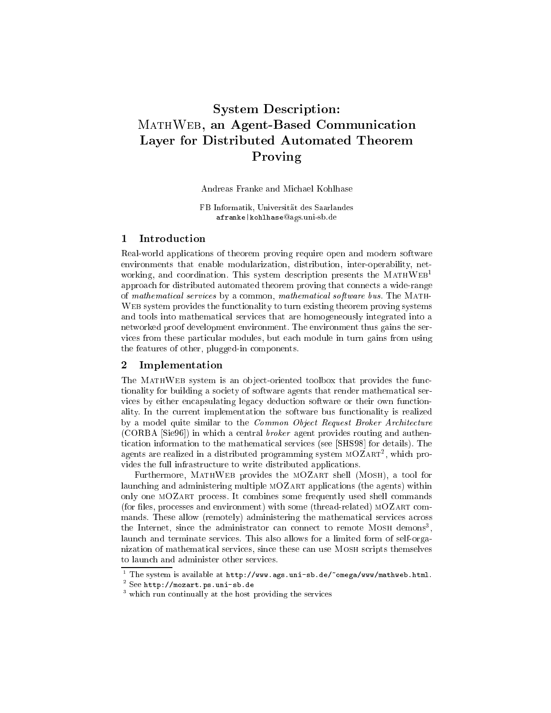# System Des
ription: MATHWEB, an Agent-Based Communication Layer for Distributed Automated Theorem Proving

Andreas Franke and Mi
hael Kohlhase

FB Informatik, Universitat des Saarlandes afranke|kohlhaseags.uni-sb.de

## 1 Introdu
tion

Real-world applications of theorem proving require open and modern software environments that enable modularization, distribution, inter-operability, networking, and coordination. This system description presents the MATHWEB<sup>1</sup> approa
h for distributed automated theorem proving that onne
ts a wide-range of mathematical services by a common, mathematical software bus. The MATHweb system provides the functionality to turn existing theorem provides systems and tools into mathemati
al servi
es that are homogeneously integrated into a networked proof development environment. The environment thus gains the servi
es from these parti
ular modules, but ea
h module in turn gains from using the features of other, plugged-in omponents.

### 2 Implementation

The MATHWEB system is an object-oriented toolbox that provides the functionality for building a society of software agents that render mathematical services by either encapsulating legacy deduction software or their own functionality. In the current implementation the software bus functionality is realized by a model quite similar to the *Common Object Request Broker Architecture*  $(CORBA [Sie96])$  in which a central *broker* agent provides routing and authentication information to the mathematical services (see [SHS98] for details). The agents are realized in a distributed programming system MOZART-, which provides the full infrastructure to write distributed applications.

Furthermore, MATHWEB provides the MOZART shell (MOSH), a tool for launching and administering multiple MOZART applications (the agents) within only one mOZart pro
ess. It ombines some frequently used shell ommands (for files, processes and environment) with some (thread-related) MOZART commands. These allow (remotely) administering the mathematical services across the Internet, since the administrator can connect to remote mosh demons , laun
h and terminate servi
es. This also allows for a limited form of self-organization of mathemati
al servi
es, sin
e these an use Mosh s
ripts themselves to laun
h and administer other servi
es.

<sup>.</sup> The system is available at <code>http://www.ags.uni-sb.de/\_omega/www/mathweb.html</code>

<sup>2</sup> See http://mozart.ps.uni-sb.de

which run continually at the host providing the services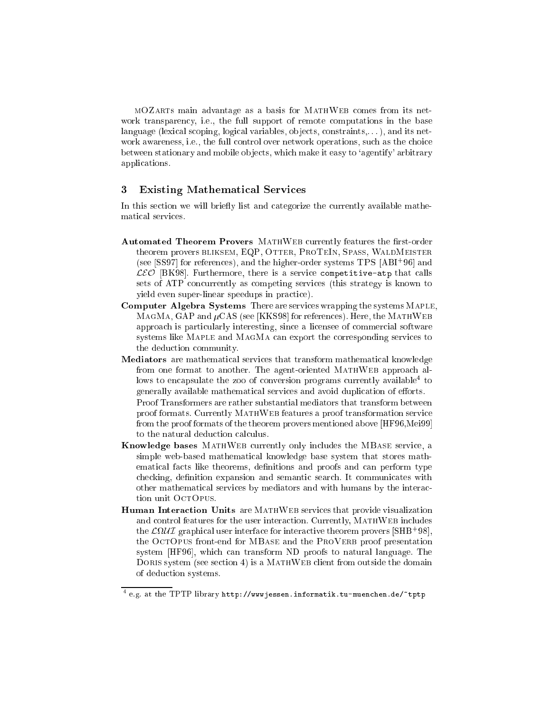MOZARTS main advantage as a basis for MATHWEB comes from its network transparency, i.e., the full support of remote computations in the base language (lexical scoping, logical variables, objects, constraints,...), and its network awareness, *i.e.*, the full control over network operations, such as the choice between stationary and mobile objects, which make it easy to 'agentify' arbitrary applications.

#### 3 **Existing Mathematical Services**

In this section we will briefly list and categorize the currently available mathematical services.

- Automated Theorem Provers MATHWEB currently features the first-order theorem provers BLIKSEM, EQP, OTTER, PROTEIN, SPASS, WALDMEISTER (see [SS97] for references), and the higher-order systems TPS [ABI+96] and  $\mathcal{LEO}$  [BK98]. Furthermore, there is a service competitive-atp that calls sets of ATP concurrently as competing services (this strategy is known to yield even super-linear speedups in practice).
- Computer Algebra Systems There are services wrapping the systems MAPLE, MAGMA, GAP and  $\mu$ CAS (see [KKS98] for references). Here, the MATHWEB approach is particularly interesting, since a licensee of commercial software systems like MAPLE and MAGMA can export the corresponding services to the deduction community.
- Mediators are mathematical services that transform mathematical knowledge from one format to another. The agent-oriented MATHWEB approach allows to encapsulate the zoo of conversion programs currently available<sup>4</sup> to generally available mathematical services and avoid duplication of efforts. Proof Transformers are rather substantial mediators that transform between proof formats. Currently MATHWEB features a proof transformation service from the proof formats of the theorem provers mentioned above [HF96, Mei99] to the natural deduction calculus.
- Knowledge bases MATHWEB currently only includes the MBASE service, a simple web-based mathematical knowledge base system that stores mathematical facts like theorems, definitions and proofs and can perform type checking, definition expansion and semantic search. It communicates with other mathematical services by mediators and with humans by the interaction unit OCTOPUS.
- Human Interaction Units are MATHWEB services that provide visualization and control features for the user interaction. Currently, MATHWEB includes the  $\mathcal{L}\Omega\mathcal{U}\mathcal{I}$  graphical user interface for interactive theorem provers [SHB<sup>+</sup>98], the OCTOPUS front-end for MBASE and the PROVERB proof presentation system [HF96], which can transform ND proofs to natural language. The DORIS system (see section 4) is a MATHWEB client from outside the domain of deduction systems.

 $4$  e.g. at the TPTP library http://wwwjessen.informatik.tu-muenchen.de/"tptp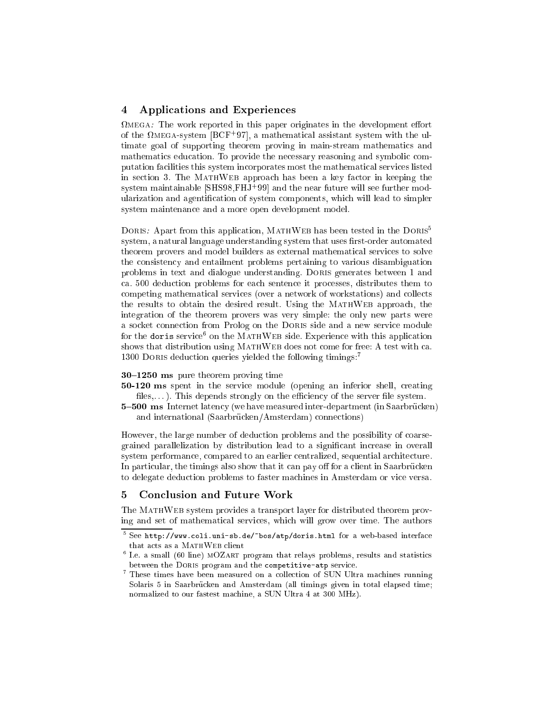# 4 Appli
ations and Experien
es

mega: The work reported in this paper or the development in this paper or the development origination of the varieta-system [BCF+97], a mathematical assistant system with the ultimate goal of supporting theorem proving in main-stream mathematics and mathematics education. To provide the necessary reasoning and symbolic computation facilities this system incorporates most the mathematical services listed in se
tion 3. The MathWeb approa
h has been a key fa
tor in keeping the system maintainable |SHS98,FHJ+99| and the near future will see further modularization and agentification of system components, which will lead to simpler system maintenan
e and a more open development model.

DORIS: Apart from this application, MATHWEB has been tested in the DORIS<sup>5</sup> system, a natural language understanding system that uses first-order automated theorem provers and model builders as external mathematical services to solve the onsisten
y and entailment problems pertaining to various disambiguation problems in text and dialogue understanding. Doris generates between 1 and a. 500 dedu
tion problems for ea
h senten
e it pro
esses, distributes them to competing mathematical services (over a network of workstations) and collects the results to obtain the desired result. Using the MATHWEB approach, the integration of the theorem provers was very simple: the only new parts were a socket connection from Prolog on the DORIS side and a new service module for the doris service<sup>.</sup> On the MATH WEB side. Experience with this application shows that distribution using MATHWEB does not come for free: A test with ca. 1300 DORIS deduction queries yielded the following timings:<sup>7</sup>

#### $30-1250$  ms pure theorem proving time

- 50-120 ms spent in the service module (opening an inferior shell, creating files,...). This depends strongly on the efficiency of the server file system.
- 5-500 ms Internet latency (we have measured inter-department (in Saarbrücken) and international (Saarbrücken/Amsterdam) connections)

However, the large number of deduction problems and the possibility of coarsegrained parallelization by distribution lead to a significant increase in overall system performan
e, ompared to an earlier entralized, sequential ar
hite
ture. In particular, the timings also show that it can pay off for a client in Saarbrücken to delegate dedu
tion problems to faster ma
hines in Amsterdam or vi
e versa.

#### $\bf{5}$ 5 Con
lusion and Future Work

The MATHWEB system provides a transport layer for distributed theorem proving and set of mathemati
al servi
es, whi
h will grow over time. The authors

<sup>-</sup> See <code>nttp://www.coli.uni-sb.de/\_bos/atp/doris.html\_ior\_a\_web-based\_interface\_</code>

 $\frac{6}{10}$ . E. a small (60 line) MOZART program that relays problems, results and statistics between the DORIS program and the competitive-atp service.

<sup>7</sup> These times have been measured on a olle
tion of SUN Ultra ma
hines running Solaris 5 in Saarbrücken and Amsterdam (all timings given in total elapsed time; normalized to our fastest machine, a SUN Ultra 4 at 300 MHz).